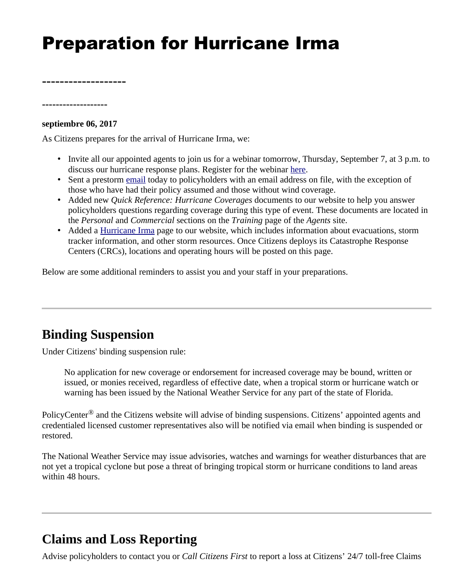# Preparation for Hurricane Irma

**-------------------**

**septiembre 06, 2017** 

**-------------------**

As Citizens prepares for the arrival of Hurricane Irma, we:

- Invite all our appointed agents to join us for a webinar tomorrow, Thursday, September 7, at 3 p.m. to discuss our hurricane response plans. Register for the webinar [here](https://citizensfla.adobeconnect.com/precateleconferencehurricaneirma/event/registration.html).
- Sent a prestorm [email](https://www.citizensfla.com/documents/20702/0/CAT+Pre-storm+PH+email+Hurricane+Irma_final.pdf/a3d271b6-31de-4a96-994c-8b92cbad7d8f) today to policyholders with an email address on file, with the exception of those who have had their policy assumed and those without wind coverage.
- Added new *Quick Reference: Hurricane Coverages* documents to our website to help you answer policyholders questions regarding coverage during this type of event. These documents are located in the *Personal* and *Commercial* sections on the *Training* page of the *Agents* site.
- Added a *Hurricane Irma* page to our website, which includes information about evacuations, storm tracker information, and other storm resources. Once Citizens deploys its Catastrophe Response Centers (CRCs), locations and operating hours will be posted on this page.

Below are some additional reminders to assist you and your staff in your preparations.

## **Binding Suspension**

Under Citizens' binding suspension rule:

No application for new coverage or endorsement for increased coverage may be bound, written or issued, or monies received, regardless of effective date, when a tropical storm or hurricane watch or warning has been issued by the National Weather Service for any part of the state of Florida.

PolicyCenter® and the Citizens website will advise of binding suspensions. Citizens' appointed agents and credentialed licensed customer representatives also will be notified via email when binding is suspended or restored.

The National Weather Service may issue advisories, watches and warnings for weather disturbances that are not yet a tropical cyclone but pose a threat of bringing tropical storm or hurricane conditions to land areas within 48 hours.

## **Claims and Loss Reporting**

Advise policyholders to contact you or *Call Citizens First* to report a loss at Citizens' 24/7 toll-free Claims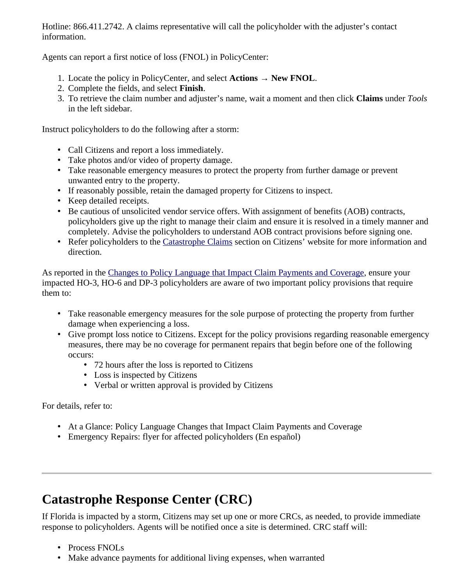Hotline: 866.411.2742. A claims representative will call the policyholder with the adjuster's contact information.

Agents can report a first notice of loss (FNOL) in PolicyCenter:

- 1. Locate the policy in PolicyCenter, and select **Actions** → **New FNOL**.
- 2. Complete the fields, and select **Finish**.
- 3. To retrieve the claim number and adjuster's name, wait a moment and then click **Claims** under *Tools* in the left sidebar.

Instruct policyholders to do the following after a storm:

- Call Citizens and report a loss immediately.
- Take photos and/or video of property damage.
- Take reasonable emergency measures to protect the property from further damage or prevent unwanted entry to the property.
- If reasonably possible, retain the damaged property for Citizens to inspect.
- Keep detailed receipts.
- Be cautious of unsolicited vendor service offers. With assignment of benefits (AOB) contracts, policyholders give up the right to manage their claim and ensure it is resolved in a timely manner and completely. Advise the policyholders to understand AOB contract provisions before signing one.
- Refer policyholders to the [Catastrophe Claims](https://www.citizensfla.com/web/public/catastrophe-claims) section on Citizens' website for more information and direction.

As reported in the [Changes to Policy Language that Impact Claim Payments and Coverage](https://www.citizensfla.com/-/20160427-changes-to-policy-language-that-impact-claim-payments-and-coverage), ensure your impacted HO-3, HO-6 and DP-3 policyholders are aware of two important policy provisions that require them to:

- Take reasonable emergency measures for the sole purpose of protecting the property from further damage when experiencing a loss.
- Give prompt loss notice to Citizens. Except for the policy provisions regarding reasonable emergency measures, there may be no coverage for permanent repairs that begin before one of the following occurs:
	- 72 hours after the loss is reported to Citizens
	- Loss is inspected by Citizens
	- Verbal or written approval is provided by Citizens

For details, refer to:

- At a Glance: Policy Language Changes that Impact Claim Payments and Coverage
- Emergency Repairs: flyer for affected policyholders (En español)

## **Catastrophe Response Center (CRC)**

If Florida is impacted by a storm, Citizens may set up one or more CRCs, as needed, to provide immediate response to policyholders. Agents will be notified once a site is determined. CRC staff will:

- Process FNOLs
- Make advance payments for additional living expenses, when warranted